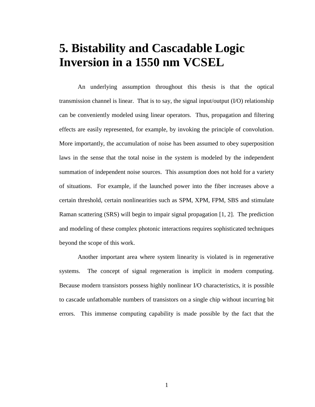# **5. Bistability and Cascadable Logic Inversion in a 1550 nm VCSEL**

An underlying assumption throughout this thesis is that the optical transmission channel is linear. That is to say, the signal input/output (I/O) relationship can be conveniently modeled using linear operators. Thus, propagation and filtering effects are easily represented, for example, by invoking the principle of convolution. More importantly, the accumulation of noise has been assumed to obey superposition laws in the sense that the total noise in the system is modeled by the independent summation of independent noise sources. This assumption does not hold for a variety of situations. For example, if the launched power into the fiber increases above a certain threshold, certain nonlinearities such as SPM, XPM, FPM, SBS and stimulate Raman scattering (SRS) will begin to impair signal propagation [1, 2]. The prediction and modeling of these complex photonic interactions requires sophisticated techniques beyond the scope of this work.

Another important area where system linearity is violated is in regenerative systems. The concept of signal regeneration is implicit in modern computing. Because modern transistors possess highly nonlinear I/O characteristics, it is possible to cascade unfathomable numbers of transistors on a single chip without incurring bit errors. This immense computing capability is made possible by the fact that the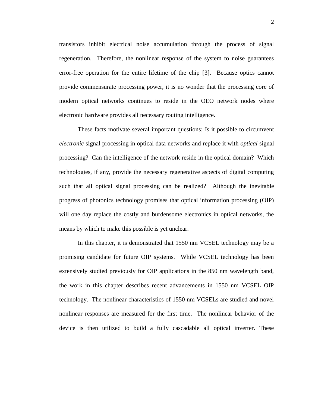transistors inhibit electrical noise accumulation through the process of signal regeneration. Therefore, the nonlinear response of the system to noise guarantees error-free operation for the entire lifetime of the chip [3]. Because optics cannot provide commensurate processing power, it is no wonder that the processing core of modern optical networks continues to reside in the OEO network nodes where electronic hardware provides all necessary routing intelligence.

These facts motivate several important questions: Is it possible to circumvent *electronic* signal processing in optical data networks and replace it with *optical* signal processing? Can the intelligence of the network reside in the optical domain? Which technologies, if any, provide the necessary regenerative aspects of digital computing such that all optical signal processing can be realized? Although the inevitable progress of photonics technology promises that optical information processing (OIP) will one day replace the costly and burdensome electronics in optical networks, the means by which to make this possible is yet unclear.

In this chapter, it is demonstrated that 1550 nm VCSEL technology may be a promising candidate for future OIP systems. While VCSEL technology has been extensively studied previously for OIP applications in the 850 nm wavelength band, the work in this chapter describes recent advancements in 1550 nm VCSEL OIP technology. The nonlinear characteristics of 1550 nm VCSELs are studied and novel nonlinear responses are measured for the first time. The nonlinear behavior of the device is then utilized to build a fully cascadable all optical inverter. These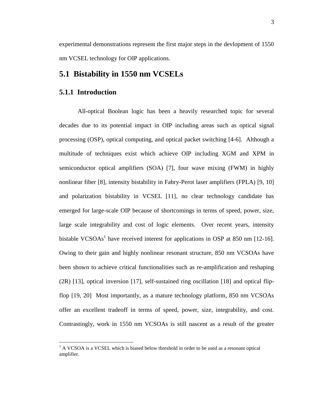experimental demonstrations represent the first major steps in the devlopment of 1550 nm VCSEL technology for OIP applications.

## **5.1 Bistability in 1550 nm VCSELs**

### **5.1.1 Introduction**

 $\overline{a}$ 

All-optical Boolean logic has been a heavily researched topic for several decades due to its potential impact in OIP including areas such as optical signal processing (OSP), optical computing, and optical packet switching [4-6]. Although a multitude of techniques exist which achieve OIP including XGM and XPM in semiconductor optical amplifiers (SOA) [7], four wave mixing (FWM) in highly nonlinear fiber [8], intensity bistability in Fabry-Perot laser amplifiers (FPLA) [9, 10] and polarization bistability in VCSEL [11], no clear technology candidate has emerged for large-scale OIP because of shortcomings in terms of speed, power, size, large scale integrability and cost of logic elements. Over recent years, intensity bistable VCSOAs<sup>1</sup> have received interest for applications in OSP at 850 nm [12-16]. Owing to their gain and highly nonlinear resonant structure, 850 nm VCSOAs have been shown to achieve critical functionalities such as re-amplification and reshaping (2R) [13], optical inversion [17], self-sustained ring oscillation [18] and optical flipflop [19, 20] Most importantly, as a mature technology platform, 850 nm VCSOAs offer an excellent tradeoff in terms of speed, power, size, integrability, and cost. Contrastingly, work in 1550 nm VCSOAs is still nascent as a result of the greater

 $<sup>1</sup>$  A VCSOA is a VCSEL which is biased below threshold in order to be used as a resonant optical</sup> amplifier.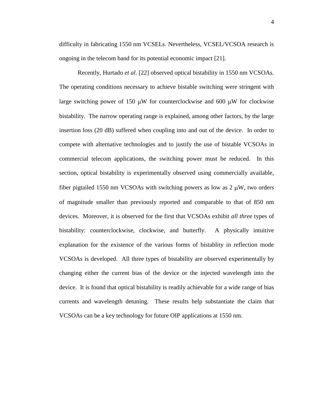difficulty in fabricating 1550 nm VCSELs. Nevertheless, VCSEL/VCSOA research is ongoing in the telecom band for its potential economic impact [21]*.*

Recently, Hurtado *et al*. [22] observed optical bistability in 1550 nm VCSOAs. The operating conditions necessary to achieve bistable switching were stringent with large switching power of 150  $\mu$ W for counterclockwise and 600  $\mu$ W for clockwise bistability. The narrow operating range is explained, among other factors, by the large insertion loss (20 dB) suffered when coupling into and out of the device. In order to compete with alternative technologies and to justify the use of bistable VCSOAs in commercial telecom applications, the switching power must be reduced. In this section, optical bistability is experimentally observed using commercially available, fiber pigtailed 1550 nm VCSOAs with switching powers as low as  $2 \mu W$ , two orders of magnitude smaller than previously reported and comparable to that of 850 nm devices. Moreover, it is observed for the first that VCSOAs exhibit *all three* types of bistability: counterclockwise, clockwise, and butterfly. A physically intuitive explanation for the existence of the various forms of bistablity in reflection mode VCSOAs is developed. All three types of bistability are observed experimentally by changing either the current bias of the device or the injected wavelength into the device. It is found that optical bistability is readily achievable for a wide range of bias currents and wavelength detuning. These results help substantiate the claim that VCSOAs can be a key technology for future OIP applications at 1550 nm.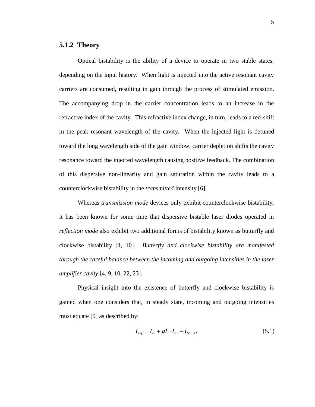### **5.1.2 Theory**

Optical bistability is the ability of a device to operate in two stable states, depending on the input history. When light is injected into the active resonant cavity carriers are consumed, resulting in gain through the process of stimulated emission. The accompanying drop in the carrier concentration leads to an increase in the refractive index of the cavity. This refractive index change, in turn, leads to a red-shift in the peak resonant wavelength of the cavity. When the injected light is detuned toward the long wavelength side of the gain window, carrier depletion shifts the cavity resonance toward the injected wavelength causing positive feedback. The combination of this dispersive non-linearity and gain saturation within the cavity leads to a counterclockwise bistability in the *transmitted* intensity [6]*.*

Whereas *transmission mode* devices only exhibit counterclockwise bistability, it has been known for some time that dispersive bistable laser diodes operated in *reflection mode* also exhibit two additional forms of bistability known as butterfly and clockwise bistability [4, 10]. *Butterfly and clockwise bistability are manifested through the careful balance between the incoming and outgoing intensities in the laser amplifier cavity* [4, 9, 10, 22, 23].

 Physical insight into the existence of butterfly and clockwise bistability is gained when one considers that, in steady state, incoming and outgoing intensities must equate [9] as described by:

$$
I_{ref} = I_{in} + gL \cdot I_{av} - I_{trans}.
$$
\n
$$
(5.1)
$$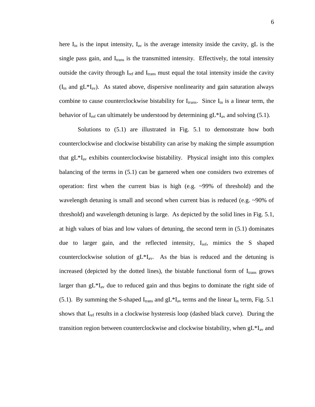here  $I_{in}$  is the input intensity,  $I_{av}$  is the average intensity inside the cavity, gL is the single pass gain, and  $I_{trans}$  is the transmitted intensity. Effectively, the total intensity outside the cavity through  $I_{ref}$  and  $I_{trans}$  must equal the total intensity inside the cavity  $(I_{in}$  and  $gL*I_{av}$ ). As stated above, dispersive nonlinearity and gain saturation always combine to cause counterclockwise bistability for I<sub>trans</sub>. Since I<sub>in</sub> is a linear term, the behavior of I<sub>ref</sub> can ultimately be understood by determining  $gL*I_{av}$  and solving (5.1).

Solutions to  $(5.1)$  are illustrated in Fig. 5.1 to demonstrate how both counterclockwise and clockwise bistability can arise by making the simple assumption that  $gL*I_{av}$  exhibits counterclockwise bistability. Physical insight into this complex balancing of the terms in (5.1) can be garnered when one considers two extremes of operation: first when the current bias is high (e.g.  $\sim$ 99% of threshold) and the wavelength detuning is small and second when current bias is reduced (e.g. ~90% of threshold) and wavelength detuning is large. As depicted by the solid lines in Fig. 5.1, at high values of bias and low values of detuning, the second term in (5.1) dominates due to larger gain, and the reflected intensity, I<sub>ref</sub>, mimics the S shaped counterclockwise solution of  $gL*I_{av}$ . As the bias is reduced and the detuning is increased (depicted by the dotted lines), the bistable functional form of  $I_{trans}$  grows larger than  $gL*I_{av}$  due to reduced gain and thus begins to dominate the right side of (5.1). By summing the S-shaped  $I_{trans}$  and  $gL*I_{av}$  terms and the linear  $I_{in}$  term, Fig. 5.1 shows that  $I_{ref}$  results in a clockwise hysteresis loop (dashed black curve). During the transition region between counterclockwise and clockwise bistability, when  $gL*I_{av}$  and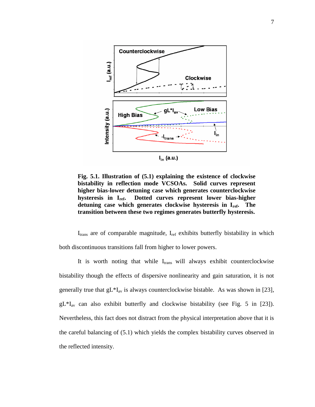

**Fig. 5.1. Illustration of (5.1) explaining the existence of clockwise bistability in reflection mode VCSOAs. Solid curves represent higher bias-lower detuning case which generates counterclockwise hysteresis in Iref. Dotted curves represent lower bias-higher detuning case which generates clockwise hysteresis in Iref. The transition between these two regimes generates butterfly hysteresis.** 

 $I_{trans}$  are of comparable magnitude,  $I_{ref}$  exhibits butterfly bistability in which both discontinuous transitions fall from higher to lower powers.

It is worth noting that while  $I_{trans}$  will always exhibit counterclockwise bistability though the effects of dispersive nonlinearity and gain saturation, it is not generally true that  $gL*I_{av}$  is always counterclockwise bistable. As was shown in [23],  $gL*I_{av}$  can also exhibit butterfly and clockwise bistability (see Fig. 5 in [23]). Nevertheless, this fact does not distract from the physical interpretation above that it is the careful balancing of (5.1) which yields the complex bistability curves observed in the reflected intensity.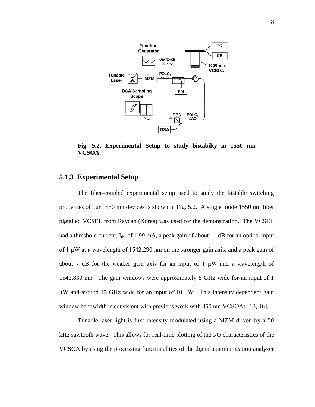

**Fig. 5.2. Experimental Setup to study bistabilty in 1550 nm VCSOA.**

#### **5.1.3 Experimental Setup**

The fiber-coupled experimental setup used to study the bistable switching properties of our 1550 nm devices is shown in Fig. 5.2. A single mode 1550 nm fiber pigtailed VCSEL from Raycan (Korea) was used for the demonstration. The VCSEL had a threshold current,  $I_{th}$ , of 1.99 mA, a peak gain of about 11 dB for an optical input of 1 μW at a wavelength of 1542.290 nm on the stronger gain axis, and a peak gain of about 7 dB for the weaker gain axis for an input of 1  $\mu$ W and a wavelength of 1542.830 nm. The gain windows were approximately 8 GHz wide for an input of 1 μW and around 12 GHz wide for an input of 10 μW. This intensity dependent gain window bandwidth is consistent with previous work with 850 nm VCSOAs [13, 16].

Tunable laser light is first intensity modulated using a MZM driven by a 50 kHz sawtooth wave. This allows for real-time plotting of the I/O characteristics of the VCSOA by using the processing functionalities of the digital communication analyzer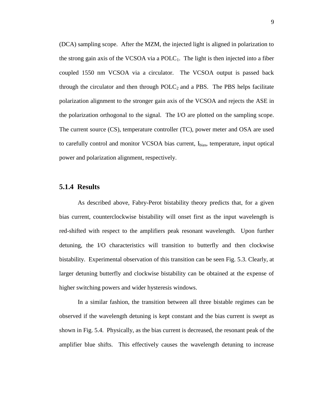(DCA) sampling scope. After the MZM, the injected light is aligned in polarization to the strong gain axis of the VCSOA via a  $POLC<sub>1</sub>$ . The light is then injected into a fiber coupled 1550 nm VCSOA via a circulator. The VCSOA output is passed back through the circulator and then through  $POLC<sub>2</sub>$  and a PBS. The PBS helps facilitate polarization alignment to the stronger gain axis of the VCSOA and rejects the ASE in the polarization orthogonal to the signal. The I/O are plotted on the sampling scope. The current source (CS), temperature controller (TC), power meter and OSA are used to carefully control and monitor VCSOA bias current, Ibias, temperature, input optical power and polarization alignment, respectively.

#### **5.1.4 Results**

As described above, Fabry-Perot bistability theory predicts that, for a given bias current, counterclockwise bistability will onset first as the input wavelength is red-shifted with respect to the amplifiers peak resonant wavelength. Upon further detuning, the I/O characteristics will transition to butterfly and then clockwise bistability. Experimental observation of this transition can be seen Fig. 5.3. Clearly, at larger detuning butterfly and clockwise bistability can be obtained at the expense of higher switching powers and wider hysteresis windows.

In a similar fashion, the transition between all three bistable regimes can be observed if the wavelength detuning is kept constant and the bias current is swept as shown in Fig. 5.4. Physically, as the bias current is decreased, the resonant peak of the amplifier blue shifts. This effectively causes the wavelength detuning to increase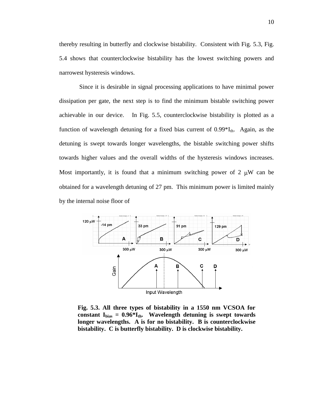thereby resulting in butterfly and clockwise bistability. Consistent with Fig. 5.3, Fig. 5.4 shows that counterclockwise bistability has the lowest switching powers and narrowest hysteresis windows.

 Since it is desirable in signal processing applications to have minimal power dissipation per gate, the next step is to find the minimum bistable switching power achievable in our device. In Fig. 5.5, counterclockwise bistability is plotted as a function of wavelength detuning for a fixed bias current of  $0.99*I_{th}$ . Again, as the detuning is swept towards longer wavelengths, the bistable switching power shifts towards higher values and the overall widths of the hysteresis windows increases. Most importantly, it is found that a minimum switching power of  $2 \mu W$  can be obtained for a wavelength detuning of 27 pm. This minimum power is limited mainly by the internal noise floor of



**Fig. 5.3. All three types of bistability in a 1550 nm VCSOA for constant Ibias = 0.96\*Ith. Wavelength detuning is swept towards longer wavelengths. A is for no bistability. B is counterclockwise bistability. C is butterfly bistability. D is clockwise bistability.**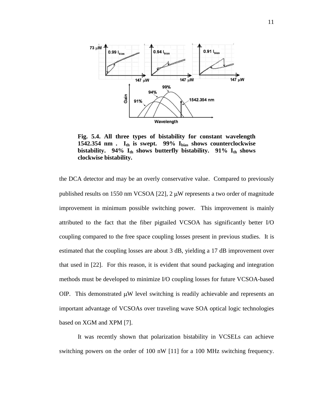

**Fig. 5.4. All three types of bistability for constant wavelength 1542.354 nm . Ith is swept. 99% Ibias shows counterclockwise bistability. 94% Ith shows butterfly bistability. 91% Ith shows clockwise bistability.** 

the DCA detector and may be an overly conservative value. Compared to previously published results on 1550 nm VCSOA [22],  $2 \mu W$  represents a two order of magnitude improvement in minimum possible switching power. This improvement is mainly attributed to the fact that the fiber pigtailed VCSOA has significantly better I/O coupling compared to the free space coupling losses present in previous studies. It is estimated that the coupling losses are about 3 dB, yielding a 17 dB improvement over that used in [22]. For this reason, it is evident that sound packaging and integration methods must be developed to minimize I/O coupling losses for future VCSOA-based OIP. This demonstrated  $\mu$ W level switching is readily achievable and represents an important advantage of VCSOAs over traveling wave SOA optical logic technologies based on XGM and XPM [7].

It was recently shown that polarization bistability in VCSELs can achieve switching powers on the order of 100 nW [11] for a 100 MHz switching frequency.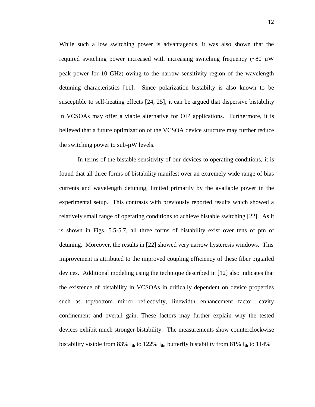While such a low switching power is advantageous, it was also shown that the required switching power increased with increasing switching frequency  $({\sim}80 \mu W)$ peak power for 10 GHz) owing to the narrow sensitivity region of the wavelength detuning characteristics [11]. Since polarization bistabilty is also known to be susceptible to self-heating effects [24, 25], it can be argued that dispersive bistability in VCSOAs may offer a viable alternative for OIP applications. Furthermore, it is believed that a future optimization of the VCSOA device structure may further reduce the switching power to sub- $\mu$ W levels.

 In terms of the bistable sensitivity of our devices to operating conditions, it is found that all three forms of bistability manifest over an extremely wide range of bias currents and wavelength detuning, limited primarily by the available power in the experimental setup. This contrasts with previously reported results which showed a relatively small range of operating conditions to achieve bistable switching [22]. As it is shown in Figs. 5.5-5.7, all three forms of bistability exist over tens of pm of detuning. Moreover, the results in [22] showed very narrow hysteresis windows. This improvement is attributed to the improved coupling efficiency of these fiber pigtailed devices. Additional modeling using the technique described in [12] also indicates that the existence of bistability in VCSOAs in critically dependent on device properties such as top/bottom mirror reflectivity, linewidth enhancement factor, cavity confinement and overall gain. These factors may further explain why the tested devices exhibit much stronger bistability. The measurements show counterclockwise bistability visible from 83%  $I_{th}$  to 122%  $I_{th}$ , butterfly bistability from 81%  $I_{th}$  to 114%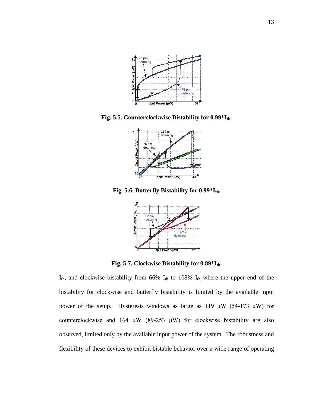

**Fig. 5.5. Counterclockwise Bistability for 0.99\*Ith.**



**Fig. 5.6. Butterfly Bistability for 0.99\*Ith.**



**Fig. 5.7. Clockwise Bistability for 0.89\*Ith.**

 $I_{th}$ , and clockwise bistability from 66%  $I_{th}$  to 108%  $I_{th}$  where the upper end of the bistability for clockwise and butterfly bistability is limited by the available input power of the setup. Hysteresis windows as large as 119  $\mu$ W (54-173  $\mu$ W) for counterclockwise and 164  $\mu$ W (89-253  $\mu$ W) for clockwise bistability are also observed, limited only by the available input power of the system. The robustness and flexibility of these devices to exhibit bistable behavior over a wide range of operating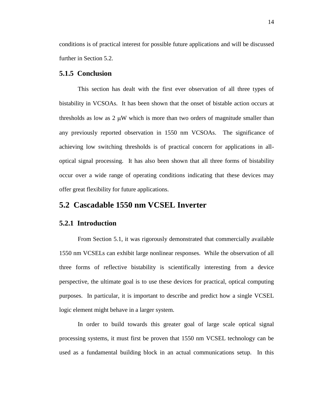conditions is of practical interest for possible future applications and will be discussed further in Section 5.2.

#### **5.1.5 Conclusion**

This section has dealt with the first ever observation of all three types of bistability in VCSOAs. It has been shown that the onset of bistable action occurs at thresholds as low as  $2 \mu W$  which is more than two orders of magnitude smaller than any previously reported observation in 1550 nm VCSOAs. The significance of achieving low switching thresholds is of practical concern for applications in alloptical signal processing. It has also been shown that all three forms of bistability occur over a wide range of operating conditions indicating that these devices may offer great flexibility for future applications.

## **5.2 Cascadable 1550 nm VCSEL Inverter**

#### **5.2.1 Introduction**

From Section 5.1, it was rigorously demonstrated that commercially available 1550 nm VCSELs can exhibit large nonlinear responses. While the observation of all three forms of reflective bistability is scientifically interesting from a device perspective, the ultimate goal is to use these devices for practical, optical computing purposes. In particular, it is important to describe and predict how a single VCSEL logic element might behave in a larger system.

In order to build towards this greater goal of large scale optical signal processing systems, it must first be proven that 1550 nm VCSEL technology can be used as a fundamental building block in an actual communications setup. In this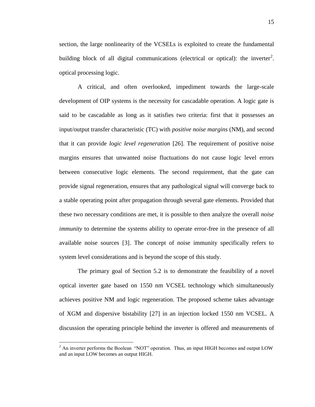section, the large nonlinearity of the VCSELs is exploited to create the fundamental building block of all digital communications (electrical or optical): the inverter<sup>2</sup>. optical processing logic.

A critical, and often overlooked, impediment towards the large-scale development of OIP systems is the necessity for cascadable operation. A logic gate is said to be cascadable as long as it satisfies two criteria: first that it possesses an input/output transfer characteristic (TC) with *positive noise margins* (NM), and second that it can provide *logic level regeneration* [26]. The requirement of positive noise margins ensures that unwanted noise fluctuations do not cause logic level errors between consecutive logic elements. The second requirement, that the gate can provide signal regeneration, ensures that any pathological signal will converge back to a stable operating point after propagation through several gate elements. Provided that these two necessary conditions are met, it is possible to then analyze the overall *noise immunity* to determine the systems ability to operate error-free in the presence of all available noise sources [3]. The concept of noise immunity specifically refers to system level considerations and is beyond the scope of this study.

The primary goal of Section 5.2 is to demonstrate the feasibility of a novel optical inverter gate based on 1550 nm VCSEL technology which simultaneously achieves positive NM and logic regeneration. The proposed scheme takes advantage of XGM and dispersive bistability [27] in an injection locked 1550 nm VCSEL. A discussion the operating principle behind the inverter is offered and measurements of

 $\overline{a}$ 

 $<sup>2</sup>$  An inverter performs the Boolean "NOT" operation. Thus, an input HIGH becomes and output LOW</sup> and an input LOW becomes an output HIGH.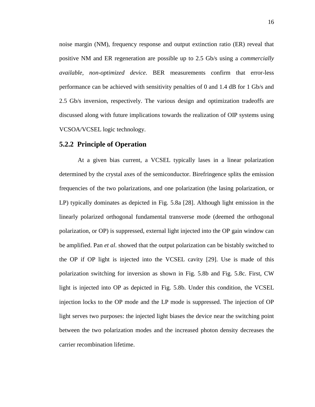noise margin (NM), frequency response and output extinction ratio (ER) reveal that positive NM and ER regeneration are possible up to 2.5 Gb/s using a *commercially available, non-optimized device*. BER measurements confirm that error-less performance can be achieved with sensitivity penalties of 0 and 1.4 dB for 1 Gb/s and 2.5 Gb/s inversion, respectively. The various design and optimization tradeoffs are discussed along with future implications towards the realization of OIP systems using VCSOA/VCSEL logic technology.

#### **5.2.2 Principle of Operation**

At a given bias current, a VCSEL typically lases in a linear polarization determined by the crystal axes of the semiconductor. Birefringence splits the emission frequencies of the two polarizations, and one polarization (the lasing polarization, or LP) typically dominates as depicted in Fig. 5.8a [28]. Although light emission in the linearly polarized orthogonal fundamental transverse mode (deemed the orthogonal polarization, or OP) is suppressed, external light injected into the OP gain window can be amplified. Pan *et al*. showed that the output polarization can be bistably switched to the OP if OP light is injected into the VCSEL cavity [29]. Use is made of this polarization switching for inversion as shown in Fig. 5.8b and Fig. 5.8c. First, CW light is injected into OP as depicted in Fig. 5.8b. Under this condition, the VCSEL injection locks to the OP mode and the LP mode is suppressed. The injection of OP light serves two purposes: the injected light biases the device near the switching point between the two polarization modes and the increased photon density decreases the carrier recombination lifetime.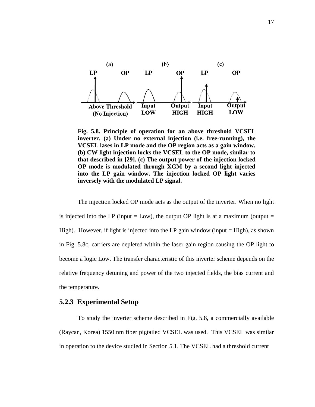

**Fig. 5.8. Principle of operation for an above threshold VCSEL inverter. (a) Under no external injection (i.e. free-running), the VCSEL lases in LP mode and the OP region acts as a gain window. (b) CW light injection locks the VCSEL to the OP mode, similar to that described in [29]. (c) The output power of the injection locked OP mode is modulated through XGM by a second light injected into the LP gain window. The injection locked OP light varies inversely with the modulated LP signal.** 

The injection locked OP mode acts as the output of the inverter. When no light is injected into the LP (input = Low), the output OP light is at a maximum (output = High). However, if light is injected into the LP gain window (input  $=$  High), as shown in Fig. 5.8c, carriers are depleted within the laser gain region causing the OP light to become a logic Low. The transfer characteristic of this inverter scheme depends on the relative frequency detuning and power of the two injected fields, the bias current and the temperature.

#### **5.2.3 Experimental Setup**

To study the inverter scheme described in Fig. 5.8, a commercially available (Raycan, Korea) 1550 nm fiber pigtailed VCSEL was used. This VCSEL was similar in operation to the device studied in Section 5.1. The VCSEL had a threshold current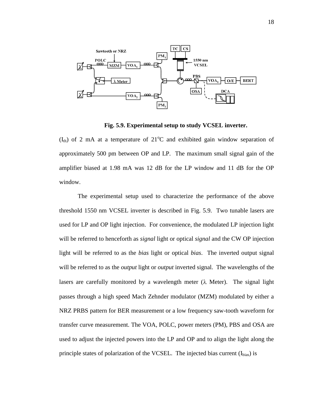

**Fig. 5.9. Experimental setup to study VCSEL inverter.**

 $(I<sub>th</sub>)$  of 2 mA at a temperature of 21<sup>o</sup>C and exhibited gain window separation of approximately 500 pm between OP and LP. The maximum small signal gain of the amplifier biased at 1.98 mA was 12 dB for the LP window and 11 dB for the OP window.

The experimental setup used to characterize the performance of the above threshold 1550 nm VCSEL inverter is described in Fig. 5.9. Two tunable lasers are used for LP and OP light injection. For convenience, the modulated LP injection light will be referred to henceforth as *signal* light or optical *signal* and the CW OP injection light will be referred to as the *bias* light or optical *bias*. The inverted output signal will be referred to as the *output* light or *output* inverted signal. The wavelengths of the lasers are carefully monitored by a wavelength meter  $(\lambda)$  Meter). The signal light passes through a high speed Mach Zehnder modulator (MZM) modulated by either a NRZ PRBS pattern for BER measurement or a low frequency saw-tooth waveform for transfer curve measurement. The VOA, POLC, power meters (PM), PBS and OSA are used to adjust the injected powers into the LP and OP and to align the light along the principle states of polarization of the VCSEL. The injected bias current  $(I_{bias})$  is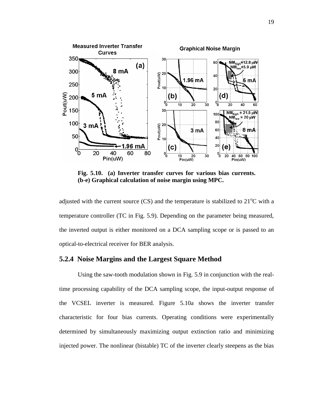

**Fig. 5.10. (a) Inverter transfer curves for various bias currents. (b-e) Graphical calculation of noise margin using MPC.** 

adjusted with the current source  $(CS)$  and the temperature is stabilized to 21<sup>o</sup>C with a temperature controller (TC in Fig. 5.9). Depending on the parameter being measured, the inverted output is either monitored on a DCA sampling scope or is passed to an optical-to-electrical receiver for BER analysis.

#### **5.2.4 Noise Margins and the Largest Square Method**

Using the saw-tooth modulation shown in Fig. 5.9 in conjunction with the realtime processing capability of the DCA sampling scope, the input-output response of the VCSEL inverter is measured. Figure 5.10a shows the inverter transfer characteristic for four bias currents. Operating conditions were experimentally determined by simultaneously maximizing output extinction ratio and minimizing injected power. The nonlinear (bistable) TC of the inverter clearly steepens as the bias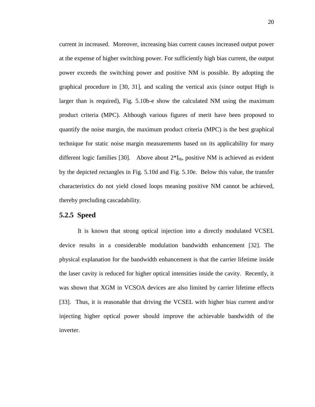current in increased. Moreover, increasing bias current causes increased output power at the expense of higher switching power. For sufficiently high bias current, the output power exceeds the switching power and positive NM is possible. By adopting the graphical procedure in [30, 31], and scaling the vertical axis (since output High is larger than is required), Fig. 5.10b-e show the calculated NM using the maximum product criteria (MPC). Although various figures of merit have been proposed to quantify the noise margin, the maximum product criteria (MPC) is the best graphical technique for static noise margin measurements based on its applicability for many different logic families [30]. Above about  $2*I_{th}$ , positive NM is achieved as evident by the depicted rectangles in Fig. 5.10d and Fig. 5.10e. Below this value, the transfer characteristics do not yield closed loops meaning positive NM cannot be achieved, thereby precluding cascadability.

#### **5.2.5 Speed**

It is known that strong optical injection into a directly modulated VCSEL device results in a considerable modulation bandwidth enhancement [32]. The physical explanation for the bandwidth enhancement is that the carrier lifetime inside the laser cavity is reduced for higher optical intensities inside the cavity. Recently, it was shown that XGM in VCSOA devices are also limited by carrier lifetime effects [33]. Thus, it is reasonable that driving the VCSEL with higher bias current and/or injecting higher optical power should improve the achievable bandwidth of the inverter.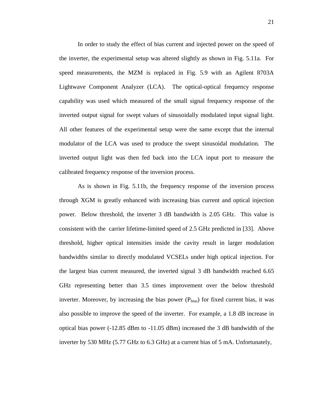In order to study the effect of bias current and injected power on the speed of the inverter, the experimental setup was altered slightly as shown in Fig. 5.11a. For speed measurements, the MZM is replaced in Fig. 5.9 with an Agilent 8703A Lightwave Component Analyzer (LCA). The optical-optical frequency response capability was used which measured of the small signal frequency response of the inverted output signal for swept values of sinusoidally modulated input signal light. All other features of the experimental setup were the same except that the internal modulator of the LCA was used to produce the swept sinusoidal modulation. The inverted output light was then fed back into the LCA input port to measure the calibrated frequency response of the inversion process.

As is shown in Fig. 5.11b, the frequency response of the inversion process through XGM is greatly enhanced with increasing bias current and optical injection power. Below threshold, the inverter 3 dB bandwidth is 2.05 GHz. This value is consistent with the carrier lifetime-limited speed of 2.5 GHz predicted in [33]. Above threshold, higher optical intensities inside the cavity result in larger modulation bandwidths similar to directly modulated VCSELs under high optical injection. For the largest bias current measured, the inverted signal 3 dB bandwidth reached 6.65 GHz representing better than 3.5 times improvement over the below threshold inverter. Moreover, by increasing the bias power  $(P_{bias})$  for fixed current bias, it was also possible to improve the speed of the inverter. For example, a 1.8 dB increase in optical bias power (-12.85 dBm to -11.05 dBm) increased the 3 dB bandwidth of the inverter by 530 MHz (5.77 GHz to 6.3 GHz) at a current bias of 5 mA. Unfortunately,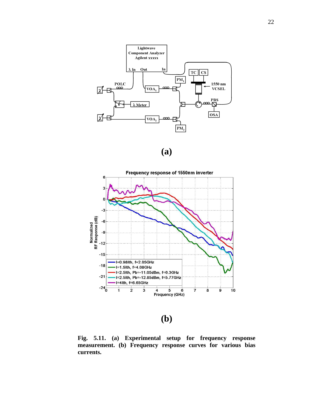

**(a)**



**(b)**

**Fig. 5.11. (a) Experimental setup for frequency response measurement. (b) Frequency response curves for various bias currents.**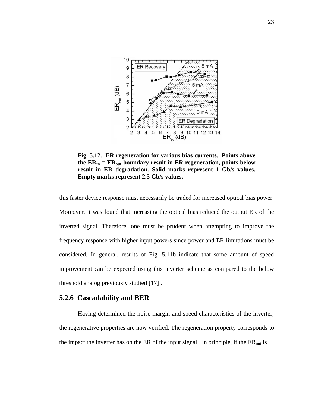

**Fig. 5.12. ER regeneration for various bias currents. Points above the ERin = ERout boundary result in ER regeneration, points below result in ER degradation. Solid marks represent 1 Gb/s values. Empty marks represent 2.5 Gb/s values.**

this faster device response must necessarily be traded for increased optical bias power. Moreover, it was found that increasing the optical bias reduced the output ER of the inverted signal. Therefore, one must be prudent when attempting to improve the frequency response with higher input powers since power and ER limitations must be considered. In general, results of Fig. 5.11b indicate that some amount of speed improvement can be expected using this inverter scheme as compared to the below threshold analog previously studied [17] .

#### **5.2.6 Cascadability and BER**

Having determined the noise margin and speed characteristics of the inverter, the regenerative properties are now verified. The regeneration property corresponds to the impact the inverter has on the ER of the input signal. In principle, if the  $ER_{out}$  is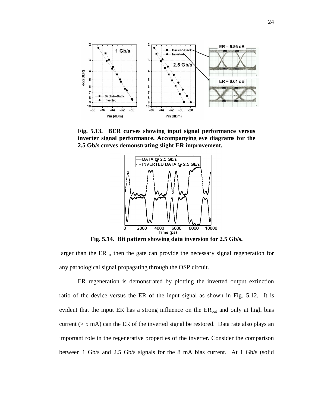

**Fig. 5.13. BER curves showing input signal performance versus inverter signal performance. Accompanying eye diagrams for the 2.5 Gb/s curves demonstrating slight ER improvement.** 



**Fig. 5.14. Bit pattern showing data inversion for 2.5 Gb/s.**

larger than the  $ER_{in}$ , then the gate can provide the necessary signal regeneration for any pathological signal propagating through the OSP circuit.

ER regeneration is demonstrated by plotting the inverted output extinction ratio of the device versus the ER of the input signal as shown in Fig. 5.12. It is evident that the input ER has a strong influence on the  $ER_{out}$  and only at high bias current (> 5 mA) can the ER of the inverted signal be restored. Data rate also plays an important role in the regenerative properties of the inverter. Consider the comparison between 1 Gb/s and 2.5 Gb/s signals for the 8 mA bias current. At 1 Gb/s (solid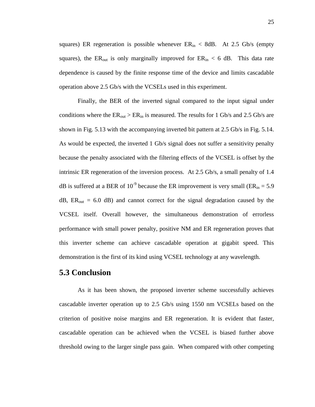squares) ER regeneration is possible whenever  $ER_{in}$  < 8dB. At 2.5 Gb/s (empty squares), the ER<sub>out</sub> is only marginally improved for  $ER_{in} < 6$  dB. This data rate dependence is caused by the finite response time of the device and limits cascadable operation above 2.5 Gb/s with the VCSELs used in this experiment.

Finally, the BER of the inverted signal compared to the input signal under conditions where the  $ER_{out} > ER_{in}$  is measured. The results for 1 Gb/s and 2.5 Gb/s are shown in Fig. 5.13 with the accompanying inverted bit pattern at 2.5 Gb/s in Fig. 5.14. As would be expected, the inverted 1 Gb/s signal does not suffer a sensitivity penalty because the penalty associated with the filtering effects of the VCSEL is offset by the intrinsic ER regeneration of the inversion process. At 2.5 Gb/s, a small penalty of 1.4 dB is suffered at a BER of 10<sup>-9</sup> because the ER improvement is very small ( $ER_{in} = 5.9$ )  $dB$ ,  $ER_{out} = 6.0$  dB) and cannot correct for the signal degradation caused by the VCSEL itself. Overall however, the simultaneous demonstration of errorless performance with small power penalty, positive NM and ER regeneration proves that this inverter scheme can achieve cascadable operation at gigabit speed. This demonstration is the first of its kind using VCSEL technology at any wavelength.

## **5.3 Conclusion**

As it has been shown, the proposed inverter scheme successfully achieves cascadable inverter operation up to 2.5 Gb/s using 1550 nm VCSELs based on the criterion of positive noise margins and ER regeneration. It is evident that faster, cascadable operation can be achieved when the VCSEL is biased further above threshold owing to the larger single pass gain. When compared with other competing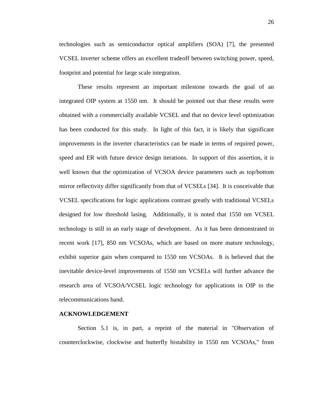technologies such as semiconductor optical amplifiers (SOA) [7], the presented VCSEL inverter scheme offers an excellent tradeoff between switching power, speed, footprint and potential for large scale integration.

These results represent an important milestone towards the goal of an integrated OIP system at 1550 nm. It should be pointed out that these results were obtained with a commercially available VCSEL and that no device level optimization has been conducted for this study. In light of this fact, it is likely that significant improvements in the inverter characteristics can be made in terms of required power, speed and ER with future device design iterations. In support of this assertion, it is well known that the optimization of VCSOA device parameters such as top/bottom mirror reflectivity differ significantly from that of VCSELs [34]. It is conceivable that VCSEL specifications for logic applications contrast greatly with traditional VCSELs designed for low threshold lasing. Additionally, it is noted that 1550 nm VCSEL technology is still in an early stage of development. As it has been demonstrated in recent work [17], 850 nm VCSOAs, which are based on more mature technology, exhibit superior gain when compared to 1550 nm VCSOAs. It is believed that the inevitable device-level improvements of 1550 nm VCSELs will further advance the research area of VCSOA/VCSEL logic technology for applications in OIP in the telecommunications band.

#### **ACKNOWLEDGEMENT**

Section 5.1 is, in part, a reprint of the material in "Observation of counterclockwise, clockwise and butterfly bistability in 1550 nm VCSOAs," from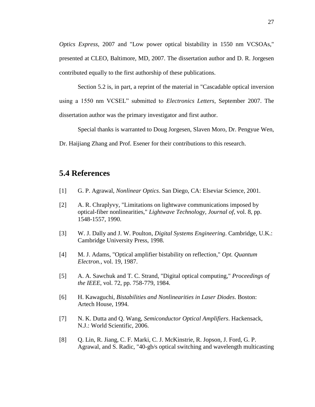*Optics Express,* 2007 and "Low power optical bistability in 1550 nm VCSOAs," presented at CLEO, Baltimore, MD, 2007. The dissertation author and D. R. Jorgesen contributed equally to the first authorship of these publications.

Section 5.2 is, in part, a reprint of the material in "Cascadable optical inversion using a 1550 nm VCSEL" submitted to *Electronics Letters*, September 2007. The dissertation author was the primary investigator and first author.

Special thanks is warranted to Doug Jorgesen, Slaven Moro, Dr. Pengyue Wen,

Dr. Haijiang Zhang and Prof. Esener for their contributions to this research.

## **5.4 References**

- [1] G. P. Agrawal, *Nonlinear Optics*. San Diego, CA: Elseviar Science, 2001.
- [2] A. R. Chraplyvy, "Limitations on lightwave communications imposed by optical-fiber nonlinearities," *Lightwave Technology, Journal of*, vol. 8, pp. 1548-1557, 1990.
- [3] W. J. Dally and J. W. Poulton, *Digital Systems Engineering*. Cambridge, U.K.: Cambridge University Press, 1998.
- [4] M. J. Adams, "Optical amplifier bistability on reflection," *Opt. Quantum Electron.*, vol. 19, 1987.
- [5] A. A. Sawchuk and T. C. Strand, "Digital optical computing," *Proceedings of the IEEE*, vol. 72, pp. 758-779, 1984.
- [6] H. Kawaguchi, *Bistabilities and Nonlinearities in Laser Diodes*. Boston: Artech House, 1994.
- [7] N. K. Dutta and Q. Wang, *Semiconductor Optical Amplifiers*. Hackensack, N.J.: World Scientific, 2006.
- [8] Q. Lin, R. Jiang, C. F. Marki, C. J. McKinstrie, R. Jopson, J. Ford, G. P. Agrawal, and S. Radic, "40-gb/s optical switching and wavelength multicasting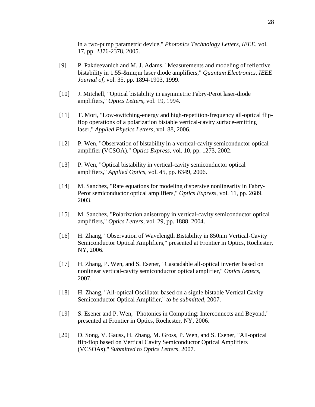in a two-pump parametric device," *Photonics Technology Letters, IEEE*, vol. 17, pp. 2376-2378, 2005.

- [9] P. Pakdeevanich and M. J. Adams, "Measurements and modeling of reflective bistability in 1.55-μm laser diode amplifiers," *Quantum Electronics, IEEE Journal of*, vol. 35, pp. 1894-1903, 1999.
- [10] J. Mitchell, "Optical bistability in asymmetric Fabry-Perot laser-diode amplifiers," *Optics Letters*, vol. 19, 1994.
- [11] T. Mori, "Low-switching-energy and high-repetition-frequency all-optical flipflop operations of a polarization bistable vertical-cavity surface-emitting laser," *Applied Physics Letters*, vol. 88, 2006.
- [12] P. Wen, "Observation of bistability in a vertical-cavity semiconductor optical amplifier (VCSOA)," *Optics Express*, vol. 10, pp. 1273, 2002.
- [13] P. Wen, "Optical bistability in vertical-cavity semiconductor optical amplifiers," *Applied Optics*, vol. 45, pp. 6349, 2006.
- [14] M. Sanchez, "Rate equations for modeling dispersive nonlinearity in Fabry-Perot semiconductor optical amplifiers," *Optics Express*, vol. 11, pp. 2689, 2003.
- [15] M. Sanchez, "Polarization anisotropy in vertical-cavity semiconductor optical amplifiers," *Optics Letters*, vol. 29, pp. 1888, 2004.
- [16] H. Zhang, "Observation of Wavelength Bistability in 850nm Vertical-Cavity Semiconductor Optical Amplifiers," presented at Frontier in Optics, Rochester, NY, 2006.
- [17] H. Zhang, P. Wen, and S. Esener, "Cascadable all-optical inverter based on nonlinear vertical-cavity semiconductor optical amplifier," *Optics Letters*, 2007.
- [18] H. Zhang, "All-optical Oscillator based on a signle bistable Vertical Cavity Semiconductor Optical Amplifier," *to be submitted*, 2007.
- [19] S. Esener and P. Wen, "Photonics in Computing: Interconnects and Beyond," presented at Frontier in Optics, Rochester, NY, 2006.
- [20] D. Song, V. Gauss, H. Zhang, M. Gross, P. Wen, and S. Esener, "All-optical flip-flop based on Vertical Cavity Semiconductor Optical Amplifiers (VCSOAs)," *Submitted to Optics Letters*, 2007.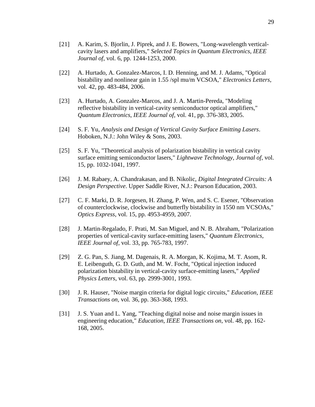- [21] A. Karim, S. Bjorlin, J. Piprek, and J. E. Bowers, "Long-wavelength verticalcavity lasers and amplifiers," *Selected Topics in Quantum Electronics, IEEE Journal of*, vol. 6, pp. 1244-1253, 2000.
- [22] A. Hurtado, A. Gonzalez-Marcos, I. D. Henning, and M. J. Adams, "Optical bistability and nonlinear gain in 1.55 /spl mu/m VCSOA," *Electronics Letters*, vol. 42, pp. 483-484, 2006.
- [23] A. Hurtado, A. Gonzalez-Marcos, and J. A. Martin-Pereda, "Modeling reflective bistability in vertical-cavity semiconductor optical amplifiers," *Quantum Electronics, IEEE Journal of*, vol. 41, pp. 376-383, 2005.
- [24] S. F. Yu, *Analysis and Design of Vertical Cavity Surface Emitting Lasers*. Hoboken, N.J.: John Wiley & Sons, 2003.
- [25] S. F. Yu, "Theoretical analysis of polarization bistability in vertical cavity surface emitting semiconductor lasers," *Lightwave Technology, Journal of*, vol. 15, pp. 1032-1041, 1997.
- [26] J. M. Rabaey, A. Chandrakasan, and B. Nikolic, *Digital Integrated Circuits: A Design Perspective*. Upper Saddle River, N.J.: Pearson Education, 2003.
- [27] C. F. Marki, D. R. Jorgesen, H. Zhang, P. Wen, and S. C. Esener, "Observation of counterclockwise, clockwise and butterfly bistability in 1550 nm VCSOAs," *Optics Express*, vol. 15, pp. 4953-4959, 2007.
- [28] J. Martin-Regalado, F. Prati, M. San Miguel, and N. B. Abraham, "Polarization properties of vertical-cavity surface-emitting lasers," *Quantum Electronics, IEEE Journal of*, vol. 33, pp. 765-783, 1997.
- [29] Z. G. Pan, S. Jiang, M. Dagenais, R. A. Morgan, K. Kojima, M. T. Asom, R. E. Leibenguth, G. D. Guth, and M. W. Focht, "Optical injection induced polarization bistability in vertical-cavity surface-emitting lasers," *Applied Physics Letters*, vol. 63, pp. 2999-3001, 1993.
- [30] J. R. Hauser, "Noise margin criteria for digital logic circuits," *Education, IEEE Transactions on*, vol. 36, pp. 363-368, 1993.
- [31] J. S. Yuan and L. Yang, "Teaching digital noise and noise margin issues in engineering education," *Education, IEEE Transactions on*, vol. 48, pp. 162- 168, 2005.